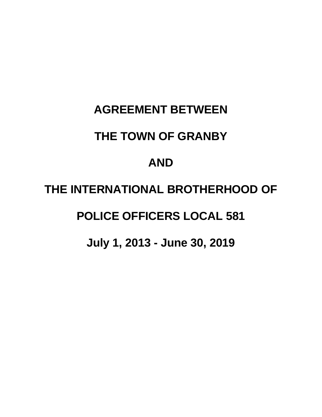# **AGREEMENT BETWEEN**

# **THE TOWN OF GRANBY**

# **AND**

# **THE INTERNATIONAL BROTHERHOOD OF**

# **POLICE OFFICERS LOCAL 581**

# **July 1, 2013 - June 30, 2019**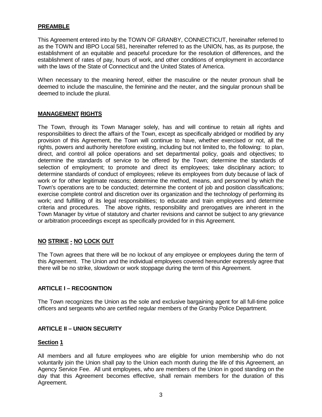#### <span id="page-3-0"></span>**PREAMBLE**

This Agreement entered into by the TOWN OF GRANBY, CONNECTICUT, hereinafter referred to as the TOWN and IBPO Local 581, hereinafter referred to as the UNION, has, as its purpose, the establishment of an equitable and peaceful procedure for the resolution of differences, and the establishment of rates of pay, hours of work, and other conditions of employment in accordance with the laws of the State of Connecticut and the United States of America.

When necessary to the meaning hereof, either the masculine or the neuter pronoun shall be deemed to include the masculine, the feminine and the neuter, and the singular pronoun shall be deemed to include the plural.

#### <span id="page-3-1"></span>**MANAGEMENT RIGHTS**

The Town, through its Town Manager solely, has and will continue to retain all rights and responsibilities to direct the affairs of the Town, except as specifically abridged or modified by any provision of this Agreement, the Town will continue to have, whether exercised or not, all the rights, powers and authority heretofore existing, including but not limited to, the following: to plan, direct, and control all police operations and set departmental policy, goals and objectives; to determine the standards of service to be offered by the Town; determine the standards of selection of employment; to promote and direct its employees; take disciplinary action; to determine standards of conduct of employees; relieve its employees from duty because of lack of work or for other legitimate reasons; determine the method, means, and personnel by which the Town's operations are to be conducted; determine the content of job and position classifications; exercise complete control and discretion over its organization and the technology of performing its work; and fulfilling of its legal responsibilities; to educate and train employees and determine criteria and procedures. The above rights, responsibility and prerogatives are inherent in the Town Manager by virtue of statutory and charter revisions and cannot be subject to any grievance or arbitration proceedings except as specifically provided for in this Agreement.

## <span id="page-3-2"></span>**NO STRIKE - NO LOCK OUT**

The Town agrees that there will be no lockout of any employee or employees during the term of this Agreement. The Union and the individual employees covered hereunder expressly agree that there will be no strike, slowdown or work stoppage during the term of this Agreement.

## <span id="page-3-3"></span>**ARTICLE I – RECOGNITION**

The Town recognizes the Union as the sole and exclusive bargaining agent for all full-time police officers and sergeants who are certified regular members of the Granby Police Department.

## <span id="page-3-4"></span>**ARTICLE II – UNION SECURITY**

#### **Section 1**

All members and all future employees who are eligible for union membership who do not voluntarily join the Union shall pay to the Union each month during the life of this Agreement, an Agency Service Fee. All unit employees, who are members of the Union in good standing on the day that this Agreement becomes effective, shall remain members for the duration of this Agreement.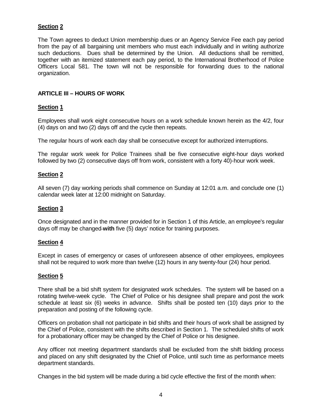## **Section 2**

The Town agrees to deduct Union membership dues or an Agency Service Fee each pay period from the pay of all bargaining unit members who must each individually and in writing authorize such deductions. Dues shall be determined by the Union. All deductions shall be remitted, together with an itemized statement each pay period, to the International Brotherhood of Police Officers Local 581. The town will not be responsible for forwarding dues to the national organization.

## <span id="page-4-0"></span>**ARTICLE III – HOURS OF WORK**

## **Section 1**

Employees shall work eight consecutive hours on a work schedule known herein as the 4/2, four (4) days on and two (2) days off and the cycle then repeats.

The regular hours of work each day shall be consecutive except for authorized interruptions.

The regular work week for Police Trainees shall be five consecutive eight-hour days worked followed by two (2) consecutive days off from work, consistent with a forty 40)-hour work week.

## **Section 2**

All seven (7) day working periods shall commence on Sunday at 12:01 a.m. and conclude one (1) calendar week later at 12:00 midnight on Saturday.

## **Section 3**

Once designated and in the manner provided for in Section 1 of this Article, an employee's regular days off may be changed **with** five (5) days' notice for training purposes.

## **Section 4**

Except in cases of emergency or cases of unforeseen absence of other employees, employees shall not be required to work more than twelve (12) hours in any twenty-four (24) hour period.

## **Section 5**

There shall be a bid shift system for designated work schedules. The system will be based on a rotating twelve-week cycle. The Chief of Police or his designee shall prepare and post the work schedule at least six (6) weeks in advance. Shifts shall be posted ten (10) days prior to the preparation and posting of the following cycle.

Officers on probation shall not participate in bid shifts and their hours of work shall be assigned by the Chief of Police, consistent with the shifts described in Section 1. The scheduled shifts of work for a probationary officer may be changed by the Chief of Police or his designee.

Any officer not meeting department standards shall be excluded from the shift bidding process and placed on any shift designated by the Chief of Police, until such time as performance meets department standards.

Changes in the bid system will be made during a bid cycle effective the first of the month when: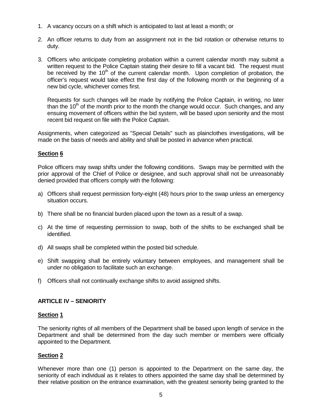- 1. A vacancy occurs on a shift which is anticipated to last at least a month; or
- 2. An officer returns to duty from an assignment not in the bid rotation or otherwise returns to duty.
- 3. Officers who anticipate completing probation within a current calendar month may submit a written request to the Police Captain stating their desire to fill a vacant bid. The request must be received by the  $10<sup>th</sup>$  of the current calendar month. Upon completion of probation, the officer's request would take effect the first day of the following month or the beginning of a new bid cycle, whichever comes first.

Requests for such changes will be made by notifying the Police Captain, in writing, no later than the 10<sup>th</sup> of the month prior to the month the change would occur. Such changes, and any ensuing movement of officers within the bid system, will be based upon seniority and the most recent bid request on file with the Police Captain.

Assignments, when categorized as "Special Details" such as plainclothes investigations, will be made on the basis of needs and ability and shall be posted in advance when practical.

## **Section 6**

Police officers may swap shifts under the following conditions. Swaps may be permitted with the prior approval of the Chief of Police or designee, and such approval shall not be unreasonably denied provided that officers comply with the following:

- a) Officers shall request permission forty-eight (48) hours prior to the swap unless an emergency situation occurs.
- b) There shall be no financial burden placed upon the town as a result of a swap.
- c) At the time of requesting permission to swap, both of the shifts to be exchanged shall be identified.
- d) All swaps shall be completed within the posted bid schedule.
- e) Shift swapping shall be entirely voluntary between employees, and management shall be under no obligation to facilitate such an exchange.
- f) Officers shall not continually exchange shifts to avoid assigned shifts.

## <span id="page-5-0"></span>**ARTICLE IV – SENIORITY**

## **Section 1**

The seniority rights of all members of the Department shall be based upon length of service in the Department and shall be determined from the day such member or members were officially appointed to the Department.

## **Section 2**

Whenever more than one (1) person is appointed to the Department on the same day, the seniority of each individual as it relates to others appointed the same day shall be determined by their relative position on the entrance examination, with the greatest seniority being granted to the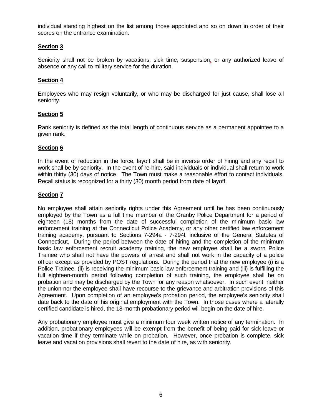individual standing highest on the list among those appointed and so on down in order of their scores on the entrance examination.

## **Section 3**

Seniority shall not be broken by vacations, sick time, suspension, or any authorized leave of absence or any call to military service for the duration.

## **Section 4**

Employees who may resign voluntarily, or who may be discharged for just cause, shall lose all seniority.

## **Section 5**

Rank seniority is defined as the total length of continuous service as a permanent appointee to a given rank.

## **Section 6**

In the event of reduction in the force, layoff shall be in inverse order of hiring and any recall to work shall be by seniority. In the event of re-hire, said individuals or individual shall return to work within thirty (30) days of notice. The Town must make a reasonable effort to contact individuals. Recall status is recognized for a thirty (30) month period from date of layoff.

## **Section 7**

No employee shall attain seniority rights under this Agreement until he has been continuously employed by the Town as a full time member of the Granby Police Department for a period of eighteen (18) months from the date of successful completion of the minimum basic law enforcement training at the Connecticut Police Academy, or any other certified law enforcement training academy, pursuant to Sections 7-294a - 7-294l, inclusive of the General Statutes of Connecticut. During the period between the date of hiring and the completion of the minimum basic law enforcement recruit academy training, the new employee shall be a sworn Police Trainee who shall not have the powers of arrest and shall not work in the capacity of a police officer except as provided by POST regulations. During the period that the new employee (i) is a Police Trainee, (ii) is receiving the minimum basic law enforcement training and (iii) is fulfilling the full eighteen-month period following completion of such training, the employee shall be on probation and may be discharged by the Town for any reason whatsoever. In such event, neither the union nor the employee shall have recourse to the grievance and arbitration provisions of this Agreement. Upon completion of an employee's probation period, the employee's seniority shall date back to the date of his original employment with the Town. In those cases where a laterally certified candidate is hired, the 18-month probationary period will begin on the date of hire.

Any probationary employee must give a minimum four week written notice of any termination. In addition, probationary employees will be exempt from the benefit of being paid for sick leave or vacation time if they terminate while on probation. However, once probation is complete, sick leave and vacation provisions shall revert to the date of hire, as with seniority.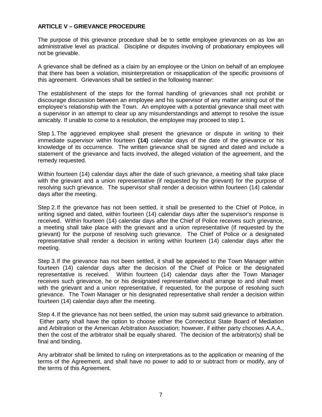#### <span id="page-7-0"></span>**ARTICLE V – GRIEVANCE PROCEDURE**

The purpose of this grievance procedure shall be to settle employee grievances on as low an administrative level as practical. Discipline or disputes involving of probationary employees will not be grievable.

A grievance shall be defined as a claim by an employee or the Union on behalf of an employee that there has been a violation, misinterpretation or misapplication of the specific provisions of this agreement. Grievances shall be settled in the following manner:

The establishment of the steps for the formal handling of grievances shall not prohibit or discourage discussion between an employee and his supervisor of any matter arising out of the employee's relationship with the Town. An employee with a potential grievance shall meet with a supervisor in an attempt to clear up any misunderstandings and attempt to resolve the issue amicably. If unable to come to a resolution, the employee may proceed to step 1.

Step 1.The aggrieved employee shall present the grievance or dispute in writing to their immediate supervisor within fourteen **(14)** calendar days of the date of the grievance or his knowledge of its occurrence. The written grievance shall be signed and dated and include a statement of the grievance and facts involved, the alleged violation of the agreement, and the remedy requested.

Within fourteen (14) calendar days after the date of such grievance, a meeting shall take place with the grievant and a union representative (if requested by the grievant) for the purpose of resolving such grievance. The supervisor shall render a decision within fourteen (14) calendar days after the meeting.

Step 2.If the grievance has not been settled, it shall be presented to the Chief of Police, in writing signed and dated, within fourteen (14) calendar days after the supervisor's response is received. Within fourteen (14) calendar days after the Chief of Police receives such grievance, a meeting shall take place with the grievant and a union representative (if requested by the grievant) for the purpose of resolving such grievance. The Chief of Police or a designated representative shall render a decision in writing within fourteen (14) calendar days after the meeting.

Step 3.If the grievance has not been settled, it shall be appealed to the Town Manager within fourteen (14) calendar days after the decision of the Chief of Police or the designated representative is received. Within fourteen (14) calendar days after the Town Manager receives such grievance, he or his designated representative shall arrange to and shall meet with the grievant and a union representative, if requested, for the purpose of resolving such grievance. The Town Manager or his designated representative shall render a decision within fourteen (14) calendar days after the meeting.

Step 4.If the grievance has not been settled, the union may submit said grievance to arbitration. Either party shall have the option to choose either the Connecticut State Board of Mediation and Arbitration or the American Arbitration Association; however, if either party chooses A.A.A., then the cost of the arbitrator shall be equally shared. The decision of the arbitrator(s) shall be final and binding.

Any arbitrator shall be limited to ruling on interpretations as to the application or meaning of the terms of the Agreement, and shall have no power to add to or subtract from or modify, any of the terms of this Agreement.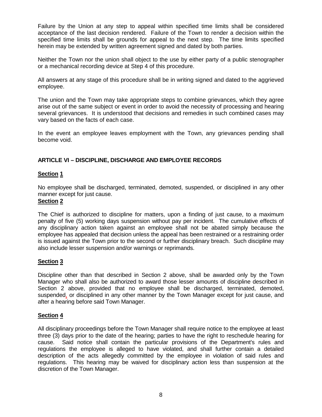Failure by the Union at any step to appeal within specified time limits shall be considered acceptance of the last decision rendered. Failure of the Town to render a decision within the specified time limits shall be grounds for appeal to the next step. The time limits specified herein may be extended by written agreement signed and dated by both parties.

Neither the Town nor the union shall object to the use by either party of a public stenographer or a mechanical recording device at Step 4 of this procedure.

All answers at any stage of this procedure shall be in writing signed and dated to the aggrieved employee.

The union and the Town may take appropriate steps to combine grievances, which they agree arise out of the same subject or event in order to avoid the necessity of processing and hearing several grievances. It is understood that decisions and remedies in such combined cases may vary based on the facts of each case.

In the event an employee leaves employment with the Town, any grievances pending shall become void.

## <span id="page-8-0"></span>**ARTICLE VI – DISCIPLINE, DISCHARGE AND EMPLOYEE RECORDS**

## **Section 1**

No employee shall be discharged, terminated, demoted, suspended, or disciplined in any other manner except for just cause.

## **Section 2**

The Chief is authorized to discipline for matters, upon a finding of just cause, to a maximum penalty of five (5) working days suspension without pay per incident. The cumulative effects of any disciplinary action taken against an employee shall not be abated simply because the employee has appealed that decision unless the appeal has been restrained or a restraining order is issued against the Town prior to the second or further disciplinary breach. Such discipline may also include lesser suspension and/or warnings or reprimands.

## **Section 3**

Discipline other than that described in Section 2 above, shall be awarded only by the Town Manager who shall also be authorized to award those lesser amounts of discipline described in Section 2 above, provided that no employee shall be discharged, terminated, demoted, suspended, or disciplined in any other manner by the Town Manager except for just cause, and after a hearing before said Town Manager.

## **Section 4**

All disciplinary proceedings before the Town Manager shall require notice to the employee at least three (3) days prior to the date of the hearing; parties to have the right to reschedule hearing for cause. Said notice shall contain the particular provisions of the Department's rules and regulations the employee is alleged to have violated, and shall further contain a detailed description of the acts allegedly committed by the employee in violation of said rules and regulations. This hearing may be waived for disciplinary action less than suspension at the discretion of the Town Manager.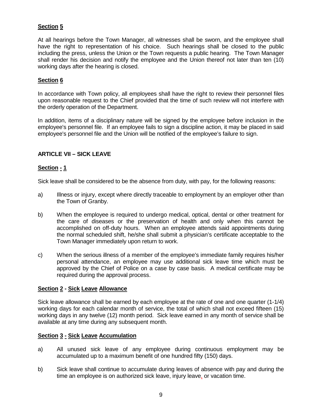## **Section 5**

At all hearings before the Town Manager, all witnesses shall be sworn, and the employee shall have the right to representation of his choice. Such hearings shall be closed to the public including the press, unless the Union or the Town requests a public hearing. The Town Manager shall render his decision and notify the employee and the Union thereof not later than ten (10) working days after the hearing is closed.

## **Section 6**

In accordance with Town policy, all employees shall have the right to review their personnel files upon reasonable request to the Chief provided that the time of such review will not interfere with the orderly operation of the Department.

In addition, items of a disciplinary nature will be signed by the employee before inclusion in the employee's personnel file. If an employee fails to sign a discipline action, it may be placed in said employee's personnel file and the Union will be notified of the employee's failure to sign.

## <span id="page-9-0"></span>**ARTICLE VII – SICK LEAVE**

## **Section - 1**

Sick leave shall be considered to be the absence from duty, with pay, for the following reasons:

- a) Illness or injury, except where directly traceable to employment by an employer other than the Town of Granby.
- b) When the employee is required to undergo medical, optical, dental or other treatment for the care of diseases or the preservation of health and only when this cannot be accomplished on off-duty hours. When an employee attends said appointments during the normal scheduled shift, he/she shall submit a physician's certificate acceptable to the Town Manager immediately upon return to work.
- c) When the serious illness of a member of the employee's immediate family requires his/her personal attendance, an employee may use additional sick leave time which must be approved by the Chief of Police on a case by case basis. A medical certificate may be required during the approval process.

## **Section 2 - Sick Leave Allowance**

Sick leave allowance shall be earned by each employee at the rate of one and one quarter (1-1/4) working days for each calendar month of service, the total of which shall not exceed fifteen (15) working days in any twelve (12) month period. Sick leave earned in any month of service shall be available at any time during any subsequent month.

## **Section 3 - Sick Leave Accumulation**

- a) All unused sick leave of any employee during continuous employment may be accumulated up to a maximum benefit of one hundred fifty (150) days.
- b) Sick leave shall continue to accumulate during leaves of absence with pay and during the time an employee is on authorized sick leave, injury leave, or vacation time.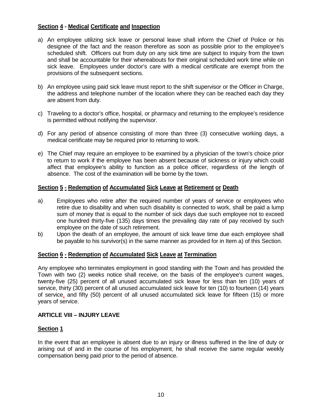## **Section 4 - Medical Certificate and Inspection**

- a) An employee utilizing sick leave or personal leave shall inform the Chief of Police or his designee of the fact and the reason therefore as soon as possible prior to the employee's scheduled shift. Officers out from duty on any sick time are subject to inquiry from the town and shall be accountable for their whereabouts for their original scheduled work time while on sick leave. Employees under doctor's care with a medical certificate are exempt from the provisions of the subsequent sections.
- b) An employee using paid sick leave must report to the shift supervisor or the Officer in Charge, the address and telephone number of the location where they can be reached each day they are absent from duty.
- c) Traveling to a doctor's office, hospital, or pharmacy and returning to the employee's residence is permitted without notifying the supervisor.
- d) For any period of absence consisting of more than three (3) consecutive working days, a medical certificate may be required prior to returning to work.
- e) The Chief may require an employee to be examined by a physician of the town's choice prior to return to work if the employee has been absent because of sickness or injury which could affect that employee's ability to function as a police officer, regardless of the length of absence. The cost of the examination will be borne by the town.

## **Section 5 - Redemption of Accumulated Sick Leave at Retirement or Death**

- a) Employees who retire after the required number of years of service or employees who retire due to disability and when such disability is connected to work, shall be paid a lump sum of money that is equal to the number of sick days due such employee not to exceed one hundred thirty-five (135) days times the prevailing day rate of pay received by such employee on the date of such retirement.
- b) Upon the death of an employee, the amount of sick leave time due each employee shall be payable to his survivor(s) in the same manner as provided for in Item a) of this Section.

## **Section 6 - Redemption of Accumulated Sick Leave at Termination**

Any employee who terminates employment in good standing with the Town and has provided the Town with two (2) weeks notice shall receive, on the basis of the employee's current wages, twenty-five (25) percent of all unused accumulated sick leave for less than ten (10) years of service, thirty (30) percent of all unused accumulated sick leave for ten (10) to fourteen (14) years of service, and fifty (50) percent of all unused accumulated sick leave for fifteen (15) or more years of service.

## <span id="page-10-0"></span>**ARTICLE VIII – INJURY LEAVE**

## **Section 1**

In the event that an employee is absent due to an injury or illness suffered in the line of duty or arising out of and in the course of his employment, he shall receive the same regular weekly compensation being paid prior to the period of absence.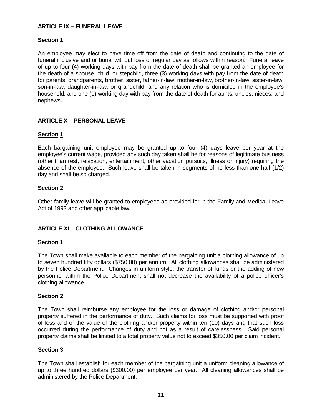## <span id="page-11-0"></span>**ARTICLE IX – FUNERAL LEAVE**

## **Section 1**

An employee may elect to have time off from the date of death and continuing to the date of funeral inclusive and or burial without loss of regular pay as follows within reason. Funeral leave of up to four (4) working days with pay from the date of death shall be granted an employee for the death of a spouse, child, or stepchild, three (3) working days with pay from the date of death for parents, grandparents, brother, sister, father-in-law, mother-in-law, brother-in-law, sister-in-law, son-in-law, daughter-in-law, or grandchild, and any relation who is domiciled in the employee's household, and one (1) working day with pay from the date of death for aunts, uncles, nieces, and nephews.

## <span id="page-11-1"></span>**ARTICLE X – PERSONAL LEAVE**

## **Section 1**

Each bargaining unit employee may be granted up to four (4) days leave per year at the employee's current wage, provided any such day taken shall be for reasons of legitimate business (other than rest, relaxation, entertainment, other vacation pursuits, illness or injury) requiring the absence of the employee. Such leave shall be taken in segments of no less than one-half (1/2) day and shall be so charged.

## **Section 2**

Other family leave will be granted to employees as provided for in the Family and Medical Leave Act of 1993 and other applicable law.

## <span id="page-11-2"></span>**ARTICLE XI – CLOTHING ALLOWANCE**

## **Section 1**

The Town shall make available to each member of the bargaining unit a clothing allowance of up to seven hundred fifty dollars (\$750.00) per annum. All clothing allowances shall be administered by the Police Department. Changes in uniform style, the transfer of funds or the adding of new personnel within the Police Department shall not decrease the availability of a police officer's clothing allowance.

## **Section 2**

The Town shall reimburse any employee for the loss or damage of clothing and/or personal property suffered in the performance of duty. Such claims for loss must be supported with proof of loss and of the value of the clothing and/or property within ten (10) days and that such loss occurred during the performance of duty and not as a result of carelessness. Said personal property claims shall be limited to a total property value not to exceed \$350.00 per claim incident.

## **Section 3**

The Town shall establish for each member of the bargaining unit a uniform cleaning allowance of up to three hundred dollars (\$300.00) per employee per year. All cleaning allowances shall be administered by the Police Department.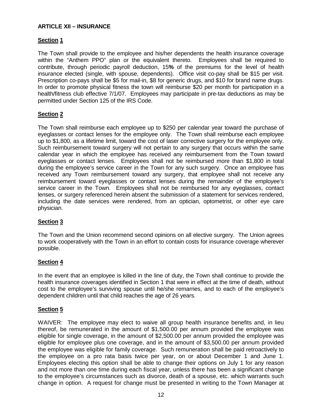## <span id="page-12-0"></span>**ARTICLE XII – INSURANCE**

## **Section 1**

The Town shall provide to the employee and his/her dependents the health insurance coverage within the "Anthem PPO" plan or the equivalent thereto. Employees shall be required to contribute, through periodic payroll deduction, 15**%** of the premiums for the level of health insurance elected (single, with spouse, dependents). Office visit co-pay shall be \$15 per visit. Prescription co-pays shall be \$5 for mail-in, \$8 for generic drugs, and \$10 for brand name drugs. In order to promote physical fitness the town will reimburse \$20 per month for participation in a health/fitness club effective 7/1/07. Employees may participate in pre-tax deductions as may be permitted under Section 125 of the IRS Code.

## **Section 2**

The Town shall reimburse each employee up to \$250 per calendar year toward the purchase of eyeglasses or contact lenses for the employee only. The Town shall reimburse each employee up to \$1,800, as a lifetime limit, toward the cost of laser corrective surgery for the employee only. Such reimbursement toward surgery will not pertain to any surgery that occurs within the same calendar year in which the employee has received any reimbursement from the Town toward eyeglasses or contact lenses. Employees shall not be reimbursed more than \$1,800 in total during the employee's service career in the Town for any such surgery. Once an employee has received any Town reimbursement toward any surgery, that employee shall not receive any reimbursement toward eyeglasses or contact lenses during the remainder of the employee's service career in the Town. Employees shall not be reimbursed for any eyeglasses, contact lenses, or surgery referenced herein absent the submission of a statement for services rendered, including the date services were rendered, from an optician, optometrist, or other eye care physician.

## **Section 3**

The Town and the Union recommend second opinions on all elective surgery. The Union agrees to work cooperatively with the Town in an effort to contain costs for insurance coverage wherever possible.

## **Section 4**

In the event that an employee is killed in the line of duty, the Town shall continue to provide the health insurance coverages identified in Section 1 that were in effect at the time of death, without cost to the employee's surviving spouse until he/she remarries, and to each of the employee's dependent children until that child reaches the age of 26 years.

## **Section 5**

WAIVER: The employee may elect to waive all group health insurance benefits and, in lieu thereof, be remunerated in the amount of \$1,500.00 per annum provided the employee was eligible for single coverage, in the amount of \$2,500.00 per annum provided the employee was eligible for employee plus one coverage, and in the amount of \$3,500.00 per annum provided the employee was eligible for family coverage. Such remuneration shall be paid retroactively to the employee on a pro rata basis twice per year, on or about December 1 and June 1. Employees electing this option shall be able to change their options on July 1 for any reason and not more than one time during each fiscal year, unless there has been a significant change to the employee's circumstances such as divorce, death of a spouse, etc. which warrants such change in option. A request for change must be presented in writing to the Town Manager at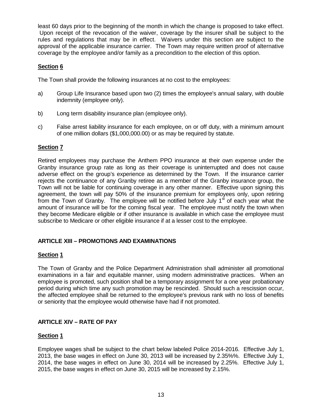least 60 days prior to the beginning of the month in which the change is proposed to take effect. Upon receipt of the revocation of the waiver, coverage by the insurer shall be subject to the rules and regulations that may be in effect. Waivers under this section are subject to the approval of the applicable insurance carrier. The Town may require written proof of alternative coverage by the employee and/or family as a precondition to the election of this option.

## **Section 6**

The Town shall provide the following insurances at no cost to the employees:

- a) Group Life Insurance based upon two (2) times the employee's annual salary, with double indemnity (employee only).
- b) Long term disability insurance plan (employee only).
- c) False arrest liability insurance for each employee, on or off duty, with a minimum amount of one million dollars (\$1,000,000.00) or as may be required by statute.

## **Section 7**

Retired employees may purchase the Anthem PPO insurance at their own expense under the Granby insurance group rate as long as their coverage is uninterrupted and does not cause adverse effect on the group's experience as determined by the Town. If the insurance carrier rejects the continuance of any Granby retiree as a member of the Granby insurance group, the Town will not be liable for continuing coverage in any other manner. Effective upon signing this agreement, the town will pay 50% of the insurance premium for employees only, upon retiring from the Town of Granby. The employee will be notified before July  $1<sup>st</sup>$  of each year what the amount of insurance will be for the coming fiscal year. The employee must notify the town when they become Medicare eligible or if other insurance is available in which case the employee must subscribe to Medicare or other eligible insurance if at a lesser cost to the employee.

## <span id="page-13-0"></span>**ARTICLE XIII – PROMOTIONS AND EXAMINATIONS**

## **Section 1**

The Town of Granby and the Police Department Administration shall administer all promotional examinations in a fair and equitable manner, using modern administrative practices. When an employee is promoted, such position shall be a temporary assignment for a one year probationary period during which time any such promotion may be rescinded. Should such a rescission occur, the affected employee shall be returned to the employee's previous rank with no loss of benefits or seniority that the employee would otherwise have had if not promoted.

## <span id="page-13-1"></span>**ARTICLE XIV – RATE OF PAY**

## **Section 1**

Employee wages shall be subject to the chart below labeled Police 2014-2016. Effective July 1, 2013, the base wages in effect on June 30, 2013 will be increased by 2.35%%. Effective July 1, 2014, the base wages in effect on June 30, 2014 will be increased by 2.25%. Effective July 1, 2015, the base wages in effect on June 30, 2015 will be increased by 2.15%.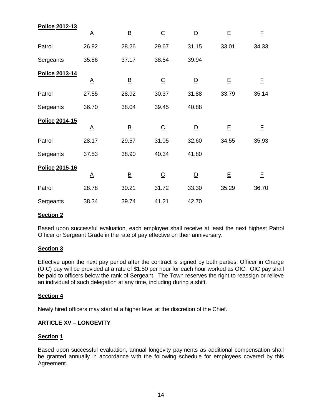| <u>Police 2012-13</u> |                          |                          |                          |                         |       |       |
|-----------------------|--------------------------|--------------------------|--------------------------|-------------------------|-------|-------|
|                       | $\underline{\mathsf{A}}$ | $\underline{\mathsf{B}}$ | $\overline{C}$           | $\overline{\mathsf{D}}$ | E     | E     |
| Patrol                | 26.92                    | 28.26                    | 29.67                    | 31.15                   | 33.01 | 34.33 |
| Sergeants             | 35.86                    | 37.17                    | 38.54                    | 39.94                   |       |       |
| Police 2013-14        |                          |                          |                          |                         |       |       |
|                       | $\Delta$                 | $\overline{\mathsf{B}}$  | $\overline{C}$           | $\overline{D}$          | E     | E     |
| Patrol                | 27.55                    | 28.92                    | 30.37                    | 31.88                   | 33.79 | 35.14 |
| Sergeants             | 36.70                    | 38.04                    | 39.45                    | 40.88                   |       |       |
| Police 2014-15        |                          |                          |                          |                         |       |       |
|                       | $\underline{A}$          | $\underline{\mathsf{B}}$ | $\overline{C}$           | $\overline{D}$          | E     | E     |
| Patrol                | 28.17                    | 29.57                    | 31.05                    | 32.60                   | 34.55 | 35.93 |
| Sergeants             | 37.53                    | 38.90                    | 40.34                    | 41.80                   |       |       |
| Police 2015-16        |                          |                          |                          |                         |       |       |
|                       | $\underline{\mathsf{A}}$ | $\underline{\mathsf{B}}$ | $\underline{\mathsf{C}}$ | $\overline{\mathsf{D}}$ | E     | E     |
| Patrol                | 28.78                    | 30.21                    | 31.72                    | 33.30                   | 35.29 | 36.70 |
| Sergeants             | 38.34                    | 39.74                    | 41.21                    | 42.70                   |       |       |

## **Section 2**

Based upon successful evaluation, each employee shall receive at least the next highest Patrol Officer or Sergeant Grade in the rate of pay effective on their anniversary.

#### **Section 3**

Effective upon the next pay period after the contract is signed by both parties, Officer in Charge (OIC) pay will be provided at a rate of \$1.50 per hour for each hour worked as OIC. OIC pay shall be paid to officers below the rank of Sergeant. The Town reserves the right to reassign or relieve an individual of such delegation at any time, including during a shift.

#### **Section 4**

Newly hired officers may start at a higher level at the discretion of the Chief.

## <span id="page-14-0"></span>**ARTICLE XV – LONGEVITY**

#### **Section 1**

Based upon successful evaluation, annual longevity payments as additional compensation shall be granted annually in accordance with the following schedule for employees covered by this Agreement.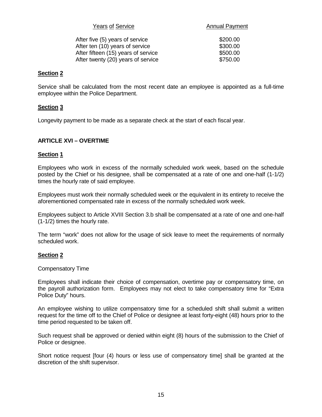|  | <b>Years of Service</b> |
|--|-------------------------|
|  |                         |

**Annual Payment** 

| After five (5) years of service     | \$200.00 |
|-------------------------------------|----------|
| After ten (10) years of service     | \$300.00 |
| After fifteen (15) years of service | \$500.00 |
| After twenty (20) years of service  | \$750.00 |

#### **Section 2**

Service shall be calculated from the most recent date an employee is appointed as a full-time employee within the Police Department.

## **Section 3**

Longevity payment to be made as a separate check at the start of each fiscal year.

## <span id="page-15-0"></span>**ARTICLE XVI – OVERTIME**

#### **Section 1**

Employees who work in excess of the normally scheduled work week, based on the schedule posted by the Chief or his designee, shall be compensated at a rate of one and one-half (1-1/2) times the hourly rate of said employee.

Employees must work their normally scheduled week or the equivalent in its entirety to receive the aforementioned compensated rate in excess of the normally scheduled work week.

Employees subject to Article XVIII Section 3.b shall be compensated at a rate of one and one-half (1-1/2) times the hourly rate.

The term "work" does not allow for the usage of sick leave to meet the requirements of normally scheduled work.

## **Section 2**

Compensatory Time

Employees shall indicate their choice of compensation, overtime pay or compensatory time, on the payroll authorization form. Employees may not elect to take compensatory time for "Extra Police Duty" hours.

An employee wishing to utilize compensatory time for a scheduled shift shall submit a written request for the time off to the Chief of Police or designee at least forty-eight (48) hours prior to the time period requested to be taken off.

Such request shall be approved or denied within eight (8) hours of the submission to the Chief of Police or designee.

Short notice request [four (4) hours or less use of compensatory time] shall be granted at the discretion of the shift supervisor.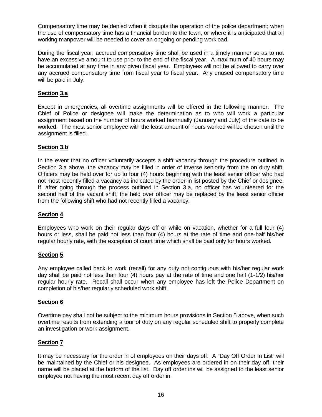Compensatory time may be denied when it disrupts the operation of the police department; when the use of compensatory time has a financial burden to the town, or where it is anticipated that all working manpower will be needed to cover an ongoing or pending workload.

During the fiscal year, accrued compensatory time shall be used in a timely manner so as to not have an excessive amount to use prior to the end of the fiscal year. A maximum of 40 hours may be accumulated at any time in any given fiscal year. Employees will not be allowed to carry over any accrued compensatory time from fiscal year to fiscal year. Any unused compensatory time will be paid in July.

## **Section 3.a**

Except in emergencies, all overtime assignments will be offered in the following manner. The Chief of Police or designee will make the determination as to who will work a particular assignment based on the number of hours worked biannually (January and July) of the date to be worked. The most senior employee with the least amount of hours worked will be chosen until the assignment is filled.

## **Section 3.b**

In the event that no officer voluntarily accepts a shift vacancy through the procedure outlined in Section 3.a above, the vacancy may be filled in order of inverse seniority from the on duty shift. Officers may be held over for up to four (4) hours beginning with the least senior officer who had not most recently filled a vacancy as indicated by the order-in list posted by the Chief or designee. If, after going through the process outlined in Section 3.a, no officer has volunteered for the second half of the vacant shift, the held over officer may be replaced by the least senior officer from the following shift who had not recently filled a vacancy.

## **Section 4**

Employees who work on their regular days off or while on vacation, whether for a full four (4) hours or less, shall be paid not less than four (4) hours at the rate of time and one-half his/her regular hourly rate, with the exception of court time which shall be paid only for hours worked.

## **Section 5**

Any employee called back to work (recall) for any duty not contiguous with his/her regular work day shall be paid not less than four (4) hours pay at the rate of time and one half (1-1/2) his/her regular hourly rate. Recall shall occur when any employee has left the Police Department on completion of his/her regularly scheduled work shift.

## **Section 6**

Overtime pay shall not be subject to the minimum hours provisions in Section 5 above, when such overtime results from extending a tour of duty on any regular scheduled shift to properly complete an investigation or work assignment.

## **Section 7**

It may be necessary for the order in of employees on their days off. A "Day Off Order In List" will be maintained by the Chief or his designee. As employees are ordered in on their day off, their name will be placed at the bottom of the list. Day off order ins will be assigned to the least senior employee not having the most recent day off order in.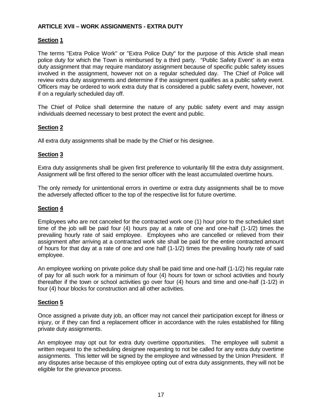## <span id="page-17-0"></span>**ARTICLE XVII – WORK ASSIGNMENTS - EXTRA DUTY**

## **Section 1**

The terms "Extra Police Work" or "Extra Police Duty" for the purpose of this Article shall mean police duty for which the Town is reimbursed by a third party. "Public Safety Event" is an extra duty assignment that may require mandatory assignment because of specific public safety issues involved in the assignment, however not on a regular scheduled day. The Chief of Police will review extra duty assignments and determine if the assignment qualifies as a public safety event. Officers may be ordered to work extra duty that is considered a public safety event, however, not if on a regularly scheduled day off.

The Chief of Police shall determine the nature of any public safety event and may assign individuals deemed necessary to best protect the event and public.

## **Section 2**

All extra duty assignments shall be made by the Chief or his designee.

## **Section 3**

Extra duty assignments shall be given first preference to voluntarily fill the extra duty assignment. Assignment will be first offered to the senior officer with the least accumulated overtime hours.

The only remedy for unintentional errors in overtime or extra duty assignments shall be to move the adversely affected officer to the top of the respective list for future overtime.

## **Section 4**

Employees who are not canceled for the contracted work one (1) hour prior to the scheduled start time of the job will be paid four (4) hours pay at a rate of one and one-half (1-1/2) times the prevailing hourly rate of said employee. Employees who are cancelled or relieved from their assignment after arriving at a contracted work site shall be paid for the entire contracted amount of hours for that day at a rate of one and one half (1-1/2) times the prevailing hourly rate of said employee.

An employee working on private police duty shall be paid time and one-half (1-1/2) his regular rate of pay for all such work for a minimum of four (4) hours for town or school activities and hourly thereafter if the town or school activities go over four (4) hours and time and one-half (1-1/2) in four (4) hour blocks for construction and all other activities.

## **Section 5**

Once assigned a private duty job, an officer may not cancel their participation except for illness or injury, or if they can find a replacement officer in accordance with the rules established for filling private duty assignments.

An employee may opt out for extra duty overtime opportunities. The employee will submit a written request to the scheduling designee requesting to not be called for any extra duty overtime assignments. This letter will be signed by the employee and witnessed by the Union President. If any disputes arise because of this employee opting out of extra duty assignments, they will not be eligible for the grievance process.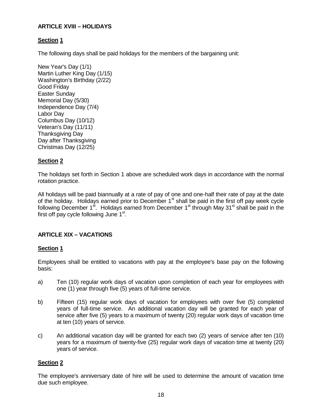## <span id="page-18-0"></span>**ARTICLE XVIII – HOLIDAYS**

## **Section 1**

The following days shall be paid holidays for the members of the bargaining unit:

New Year's Day (1/1) Martin Luther King Day (1/15) Washington's Birthday (2/22) Good Friday Easter Sunday Memorial Day (5/30) Independence Day (7/4) Labor Day Columbus Day (10/12) Veteran's Day (11/11) Thanksgiving Day Day after Thanksgiving Christmas Day (12/25)

## **Section 2**

The holidays set forth in Section 1 above are scheduled work days in accordance with the normal rotation practice.

All holidays will be paid biannually at a rate of pay of one and one-half their rate of pay at the date of the holiday. Holidays earned prior to December  $1<sup>st</sup>$  shall be paid in the first off pay week cycle following December 1st. Holidays earned from December 1st through May 31st shall be paid in the first off pay cycle following June 1st.

## <span id="page-18-1"></span>**ARTICLE XIX – VACATIONS**

## **Section 1**

Employees shall be entitled to vacations with pay at the employee's base pay on the following basis:

- a) Ten (10) regular work days of vacation upon completion of each year for employees with one (1) year through five (5) years of full-time service.
- b) Fifteen (15) regular work days of vacation for employees with over five (5) completed years of full-time service. An additional vacation day will be granted for each year of service after five (5) years to a maximum of twenty (20) regular work days of vacation time at ten (10) years of service.
- c) An additional vacation day will be granted for each two (2) years of service after ten (10) years for a maximum of twenty-five (25) regular work days of vacation time at twenty (20) years of service.

## **Section 2**

The employee's anniversary date of hire will be used to determine the amount of vacation time due such employee.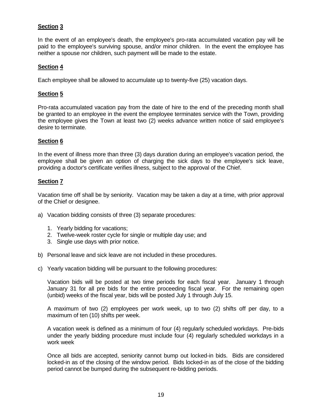## **Section 3**

In the event of an employee's death, the employee's pro-rata accumulated vacation pay will be paid to the employee's surviving spouse, and/or minor children. In the event the employee has neither a spouse nor children, such payment will be made to the estate.

## **Section 4**

Each employee shall be allowed to accumulate up to twenty-five (25) vacation days.

## **Section 5**

Pro-rata accumulated vacation pay from the date of hire to the end of the preceding month shall be granted to an employee in the event the employee terminates service with the Town, providing the employee gives the Town at least two (2) weeks advance written notice of said employee's desire to terminate.

## **Section 6**

In the event of illness more than three (3) days duration during an employee's vacation period, the employee shall be given an option of charging the sick days to the employee's sick leave, providing a doctor's certificate verifies illness, subject to the approval of the Chief.

## **Section 7**

Vacation time off shall be by seniority. Vacation may be taken a day at a time, with prior approval of the Chief or designee.

- a) Vacation bidding consists of three (3) separate procedures:
	- 1. Yearly bidding for vacations;
	- 2. Twelve-week roster cycle for single or multiple day use; and
	- 3. Single use days with prior notice.
- b) Personal leave and sick leave are not included in these procedures.
- c) Yearly vacation bidding will be pursuant to the following procedures:

Vacation bids will be posted at two time periods for each fiscal year. January 1 through January 31 for all pre bids for the entire proceeding fiscal year. For the remaining open (unbid) weeks of the fiscal year, bids will be posted July 1 through July 15.

A maximum of two (2) employees per work week, up to two (2) shifts off per day, to a maximum of ten (10) shifts per week.

A vacation week is defined as a minimum of four (4) regularly scheduled workdays. Pre-bids under the yearly bidding procedure must include four (4) regularly scheduled workdays in a work week

Once all bids are accepted, seniority cannot bump out locked-in bids. Bids are considered locked-in as of the closing of the window period. Bids locked-in as of the close of the bidding period cannot be bumped during the subsequent re-bidding periods.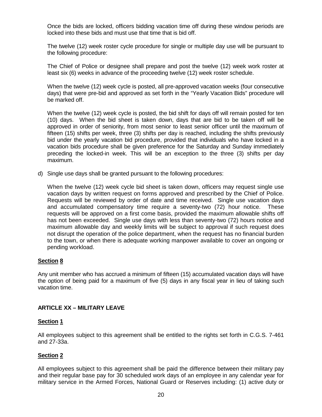Once the bids are locked, officers bidding vacation time off during these window periods are locked into these bids and must use that time that is bid off.

The twelve (12) week roster cycle procedure for single or multiple day use will be pursuant to the following procedure:

The Chief of Police or designee shall prepare and post the twelve (12) week work roster at least six (6) weeks in advance of the proceeding twelve (12) week roster schedule.

When the twelve (12) week cycle is posted, all pre-approved vacation weeks (four consecutive days) that were pre-bid and approved as set forth in the "Yearly Vacation Bids" procedure will be marked off.

When the twelve (12) week cycle is posted, the bid shift for days off will remain posted for ten (10) days. When the bid sheet is taken down, days that are bid to be taken off will be approved in order of seniority, from most senior to least senior officer until the maximum of fifteen (15) shifts per week, three (3) shifts per day is reached, including the shifts previously bid under the yearly vacation bid procedure, provided that individuals who have locked in a vacation bids procedure shall be given preference for the Saturday and Sunday immediately preceding the locked-in week. This will be an exception to the three (3) shifts per day maximum.

d) Single use days shall be granted pursuant to the following procedures:

When the twelve (12) week cycle bid sheet is taken down, officers may request single use vacation days by written request on forms approved and prescribed by the Chief of Police. Requests will be reviewed by order of date and time received. Single use vacation days and accumulated compensatory time require a seventy-two (72) hour notice. These requests will be approved on a first come basis, provided the maximum allowable shifts off has not been exceeded. Single use days with less than seventy-two (72) hours notice and maximum allowable day and weekly limits will be subject to approval if such request does not disrupt the operation of the police department, when the request has no financial burden to the town, or when there is adequate working manpower available to cover an ongoing or pending workload.

## **Section 8**

Any unit member who has accrued a minimum of fifteen (15) accumulated vacation days will have the option of being paid for a maximum of five (5) days in any fiscal year in lieu of taking such vacation time.

## <span id="page-20-0"></span>**ARTICLE XX – MILITARY LEAVE**

## **Section 1**

All employees subject to this agreement shall be entitled to the rights set forth in C.G.S. 7-461 and 27-33a.

## **Section 2**

All employees subject to this agreement shall be paid the difference between their military pay and their regular base pay for 30 scheduled work days of an employee in any calendar year for military service in the Armed Forces, National Guard or Reserves including: (1) active duty or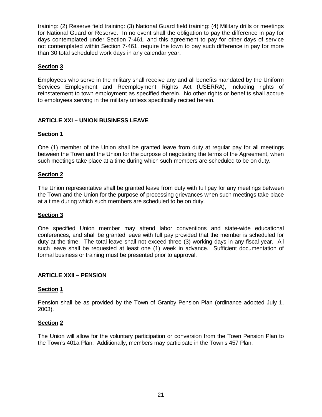training: (2) Reserve field training: (3) National Guard field training: (4) Military drills or meetings for National Guard or Reserve. In no event shall the obligation to pay the difference in pay for days contemplated under Section 7-461, and this agreement to pay for other days of service not contemplated within Section 7-461, require the town to pay such difference in pay for more than 30 total scheduled work days in any calendar year.

## **Section 3**

Employees who serve in the military shall receive any and all benefits mandated by the Uniform Services Employment and Reemployment Rights Act (USERRA), including rights of reinstatement to town employment as specified therein. No other rights or benefits shall accrue to employees serving in the military unless specifically recited herein.

## <span id="page-21-0"></span>**ARTICLE XXI – UNION BUSINESS LEAVE**

## **Section 1**

One (1) member of the Union shall be granted leave from duty at regular pay for all meetings between the Town and the Union for the purpose of negotiating the terms of the Agreement, when such meetings take place at a time during which such members are scheduled to be on duty.

#### **Section 2**

The Union representative shall be granted leave from duty with full pay for any meetings between the Town and the Union for the purpose of processing grievances when such meetings take place at a time during which such members are scheduled to be on duty.

#### **Section 3**

One specified Union member may attend labor conventions and state-wide educational conferences, and shall be granted leave with full pay provided that the member is scheduled for duty at the time. The total leave shall not exceed three (3) working days in any fiscal year. All such leave shall be requested at least one (1) week in advance. Sufficient documentation of formal business or training must be presented prior to approval.

## <span id="page-21-1"></span>**ARTICLE XXII – PENSION**

## **Section 1**

Pension shall be as provided by the Town of Granby Pension Plan (ordinance adopted July 1, 2003).

#### **Section 2**

The Union will allow for the voluntary participation or conversion from the Town Pension Plan to the Town's 401a Plan. Additionally, members may participate in the Town's 457 Plan.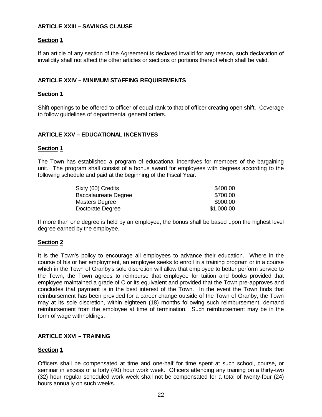## <span id="page-22-0"></span>**ARTICLE XXIII – SAVINGS CLAUSE**

## **Section 1**

If an article of any section of the Agreement is declared invalid for any reason, such declaration of invalidity shall not affect the other articles or sections or portions thereof which shall be valid.

## <span id="page-22-1"></span>**ARTICLE XXIV – MINIMUM STAFFING REQUIREMENTS**

#### **Section 1**

Shift openings to be offered to officer of equal rank to that of officer creating open shift. Coverage to follow guidelines of departmental general orders.

## <span id="page-22-2"></span>**ARTICLE XXV – EDUCATIONAL INCENTIVES**

#### **Section 1**

The Town has established a program of educational incentives for members of the bargaining unit. The program shall consist of a bonus award for employees with degrees according to the following schedule and paid at the beginning of the Fiscal Year.

| Sixty (60) Credits   | \$400.00   |
|----------------------|------------|
| Baccalaureate Degree | \$700.00   |
| Masters Degree       | \$900.00   |
| Doctorate Degree     | \$1,000.00 |

If more than one degree is held by an employee, the bonus shall be based upon the highest level degree earned by the employee.

## **Section 2**

It is the Town's policy to encourage all employees to advance their education. Where in the course of his or her employment, an employee seeks to enroll in a training program or in a course which in the Town of Granby's sole discretion will allow that employee to better perform service to the Town, the Town agrees to reimburse that employee for tuition and books provided that employee maintained a grade of C or its equivalent and provided that the Town pre-approves and concludes that payment is in the best interest of the Town. In the event the Town finds that reimbursement has been provided for a career change outside of the Town of Granby, the Town may at its sole discretion, within eighteen (18) months following such reimbursement, demand reimbursement from the employee at time of termination. Such reimbursement may be in the form of wage withholdings.

## <span id="page-22-3"></span>**ARTICLE XXVI – TRAINING**

#### **Section 1**

Officers shall be compensated at time and one-half for time spent at such school, course, or seminar in excess of a forty (40) hour work week. Officers attending any training on a thirty-two (32) hour regular scheduled work week shall not be compensated for a total of twenty-four (24) hours annually on such weeks.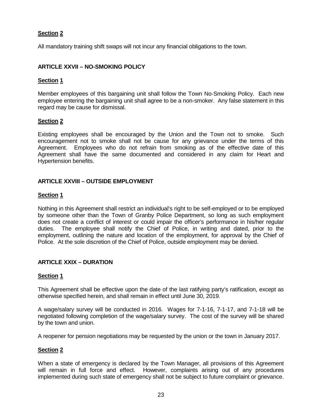## **Section 2**

All mandatory training shift swaps will not incur any financial obligations to the town.

## <span id="page-23-0"></span>**ARTICLE XXVII – NO-SMOKING POLICY**

#### **Section 1**

Member employees of this bargaining unit shall follow the Town No-Smoking Policy. Each new employee entering the bargaining unit shall agree to be a non-smoker. Any false statement in this regard may be cause for dismissal.

## **Section 2**

Existing employees shall be encouraged by the Union and the Town not to smoke. Such encouragement not to smoke shall not be cause for any grievance under the terms of this Agreement. Employees who do not refrain from smoking as of the effective date of this Agreement shall have the same documented and considered in any claim for Heart and Hypertension benefits.

## <span id="page-23-1"></span>**ARTICLE XXVIII – OUTSIDE EMPLOYMENT**

## **Section 1**

Nothing in this Agreement shall restrict an individual's right to be self-employed or to be employed by someone other than the Town of Granby Police Department, so long as such employment does not create a conflict of interest or could impair the officer's performance in his/her regular duties. The employee shall notify the Chief of Police, in writing and dated, prior to the employment, outlining the nature and location of the employment, for approval by the Chief of Police. At the sole discretion of the Chief of Police, outside employment may be denied.

## <span id="page-23-2"></span>**ARTICLE XXIX – DURATION**

## **Section 1**

This Agreement shall be effective upon the date of the last ratifying party's ratification, except as otherwise specified herein, and shall remain in effect until June 30, 2019.

A wage/salary survey will be conducted in 2016. Wages for 7-1-16, 7-1-17, and 7-1-18 will be negotiated following completion of the wage/salary survey. The cost of the survey will be shared by the town and union.

A reopener for pension negotiations may be requested by the union or the town in January 2017.

## **Section 2**

When a state of emergency is declared by the Town Manager, all provisions of this Agreement will remain in full force and effect. However, complaints arising out of any procedures implemented during such state of emergency shall not be subject to future complaint or grievance.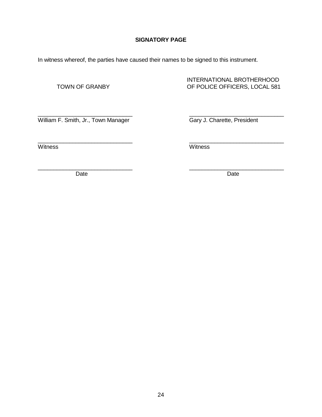## **SIGNATORY PAGE**

\_\_\_\_\_\_\_\_\_\_\_\_\_\_\_\_\_\_\_\_\_\_\_\_\_\_\_\_\_\_ \_\_\_\_\_\_\_\_\_\_\_\_\_\_\_\_\_\_\_\_\_\_\_\_\_\_\_\_\_\_

In witness whereof, the parties have caused their names to be signed to this instrument.

INTERNATIONAL BROTHERHOOD TOWN OF GRANBY **OF POLICE OFFICERS, LOCAL 581** 

 $\frac{1}{2}$  ,  $\frac{1}{2}$  ,  $\frac{1}{2}$  ,  $\frac{1}{2}$  ,  $\frac{1}{2}$  ,  $\frac{1}{2}$  ,  $\frac{1}{2}$  ,  $\frac{1}{2}$  ,  $\frac{1}{2}$  ,  $\frac{1}{2}$  ,  $\frac{1}{2}$  ,  $\frac{1}{2}$  ,  $\frac{1}{2}$  ,  $\frac{1}{2}$  ,  $\frac{1}{2}$  ,  $\frac{1}{2}$  ,  $\frac{1}{2}$  ,  $\frac{1}{2}$  ,  $\frac{1$ William F. Smith, Jr., Town Manager **Gary J. Charette, President** 

 $\overline{\phantom{a}}$  , and the contract of the contract of the contract of the contract of the contract of the contract of the contract of the contract of the contract of the contract of the contract of the contract of the contrac Witness Witness Witness

Date **Date Date Date Date Date Date**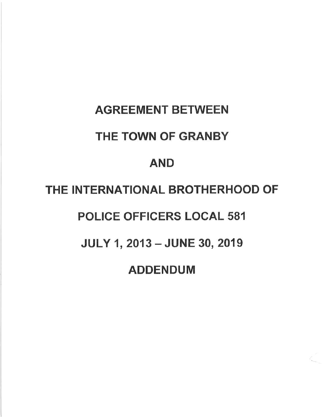# **AGREEMENT BETWEEN**

# THE TOWN OF GRANBY

# **AND**

# THE INTERNATIONAL BROTHERHOOD OF

# **POLICE OFFICERS LOCAL 581**

# JULY 1, 2013 - JUNE 30, 2019

# **ADDENDUM**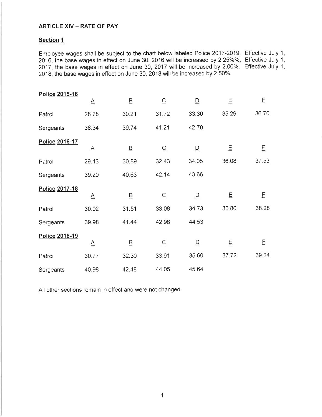## **ARTICLE XIV - RATE OF PAY**

#### Section 1

Employee wages shall be subject to the chart below labeled Police 2017-2019. Effective July 1, 2016, the base wages in effect on June 30, 2016 will be increased by 2.25%%. Effective July 1, 2017, the base wages in effect on June 30, 2017 will be increased by 2.00%. Effective July 1, 2018, the base wages in effect on June 30, 2018 will be increased by 2.50%.

| Police 2015-16 |                 |                          |                |                         |       |                    |
|----------------|-----------------|--------------------------|----------------|-------------------------|-------|--------------------|
|                | $\underline{A}$ | $\overline{\mathsf{B}}$  | $\overline{C}$ | $\overline{\mathsf{D}}$ | E     | $E_{\parallel}$    |
| Patrol         | 28.78           | 30.21                    | 31.72          | 33.30                   | 35.29 | 36.70              |
| Sergeants      | 38.34           | 39.74                    | 41.21          | 42.70                   |       |                    |
| Police 2016-17 |                 |                          |                |                         |       |                    |
|                | $\underline{A}$ | $\overline{\mathsf{B}}$  | $\overline{C}$ | $\overline{\mathsf{D}}$ | Ē     | E                  |
| Patrol         | 29.43           | 30.89                    | 32.43          | 34.05                   | 36.08 | 37.53              |
| Sergeants      | 39.20           | 40.63                    | 42.14          | 43.66                   |       |                    |
| Police 2017-18 |                 |                          |                |                         |       |                    |
|                | $\underline{A}$ | $\overline{\mathsf{B}}$  | $\overline{C}$ | $\overline{D}$          | Ε     | E                  |
| Patrol         | 30.02           | 31.51                    | 33.08          | 34.73                   | 36.80 | 38.28              |
| Sergeants      | 39.98           | 41.44                    | 42.98          | 44.53                   |       |                    |
| Police 2018-19 |                 |                          |                |                         |       |                    |
|                | $\underline{A}$ | $\underline{\mathsf{B}}$ | $\overline{C}$ | $\overline{\mathsf{D}}$ | Ε     | $\mathsf{E}% _{0}$ |
| Patrol         | 30.77           | 32.30                    | 33.91          | 35.60                   | 37.72 | 39.24              |
| Sergeants      | 40.98           | 42.48                    | 44.05          | 45.64                   |       |                    |

All other sections remain in effect and were not changed.